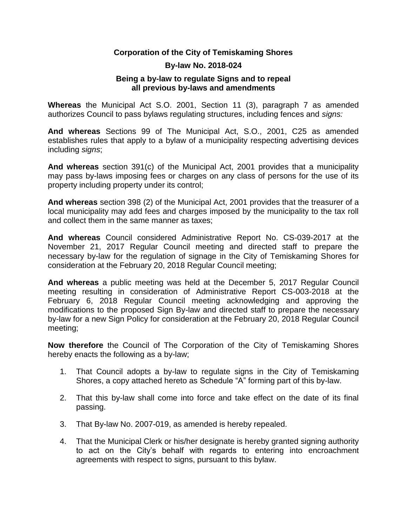## **Corporation of the City of Temiskaming Shores**

## **By-law No. 2018-024**

## **Being a by-law to regulate Signs and to repeal all previous by-laws and amendments**

**Whereas** the Municipal Act S.O. 2001, Section 11 (3), paragraph 7 as amended authorizes Council to pass bylaws regulating structures, including fences and *signs:*

**And whereas** Sections 99 of The Municipal Act, S.O., 2001, C25 as amended establishes rules that apply to a bylaw of a municipality respecting advertising devices including *signs*;

**And whereas** section 391(c) of the Municipal Act, 2001 provides that a municipality may pass by-laws imposing fees or charges on any class of persons for the use of its property including property under its control;

**And whereas** section 398 (2) of the Municipal Act, 2001 provides that the treasurer of a local municipality may add fees and charges imposed by the municipality to the tax roll and collect them in the same manner as taxes;

**And whereas** Council considered Administrative Report No. CS-039-2017 at the November 21, 2017 Regular Council meeting and directed staff to prepare the necessary by-law for the regulation of signage in the City of Temiskaming Shores for consideration at the February 20, 2018 Regular Council meeting;

**And whereas** a public meeting was held at the December 5, 2017 Regular Council meeting resulting in consideration of Administrative Report CS-003-2018 at the February 6, 2018 Regular Council meeting acknowledging and approving the modifications to the proposed Sign By-law and directed staff to prepare the necessary by-law for a new Sign Policy for consideration at the February 20, 2018 Regular Council meeting;

**Now therefore** the Council of The Corporation of the City of Temiskaming Shores hereby enacts the following as a by-law;

- 1. That Council adopts a by-law to regulate signs in the City of Temiskaming Shores, a copy attached hereto as Schedule "A" forming part of this by-law.
- 2. That this by-law shall come into force and take effect on the date of its final passing.
- 3. That By-law No. 2007-019, as amended is hereby repealed.
- 4. That the Municipal Clerk or his/her designate is hereby granted signing authority to act on the City's behalf with regards to entering into encroachment agreements with respect to signs, pursuant to this bylaw.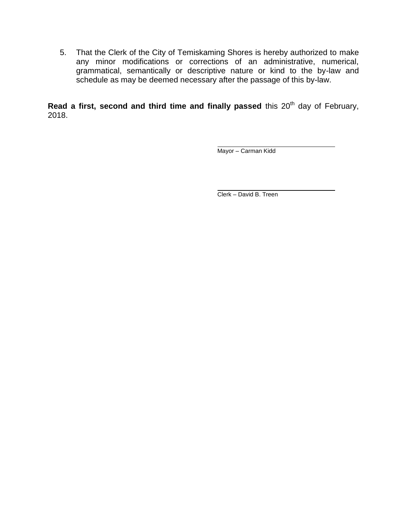5. That the Clerk of the City of Temiskaming Shores is hereby authorized to make any minor modifications or corrections of an administrative, numerical, grammatical, semantically or descriptive nature or kind to the by-law and schedule as may be deemed necessary after the passage of this by-law.

Read a first, second and third time and finally passed this 20<sup>th</sup> day of February, 2018.

Mayor – Carman Kidd

Clerk – David B. Treen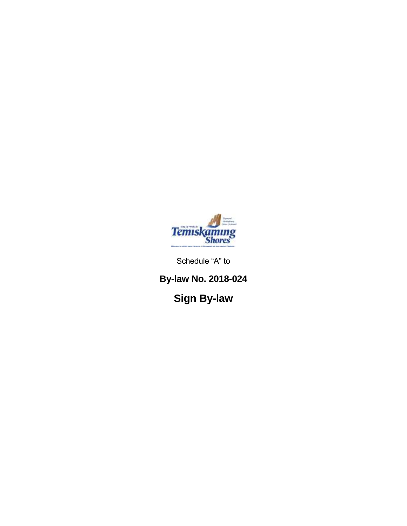

Schedule "A" to

**By-law No. 2018-024**

**Sign By-law**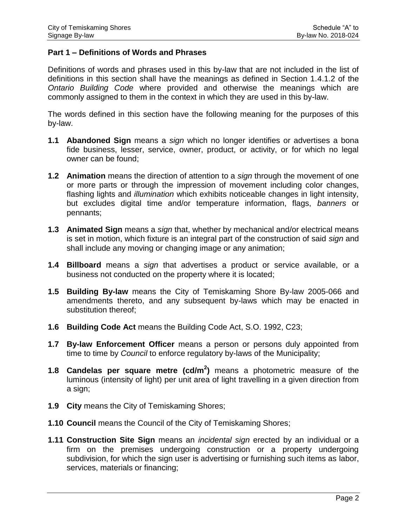## **Part 1 – Definitions of Words and Phrases**

Definitions of words and phrases used in this by-law that are not included in the list of definitions in this section shall have the meanings as defined in Section 1.4.1.2 of the *Ontario Building Code* where provided and otherwise the meanings which are commonly assigned to them in the context in which they are used in this by-law.

The words defined in this section have the following meaning for the purposes of this by-law.

- **1.1 Abandoned Sign** means a *sign* which no longer identifies or advertises a bona fide business, lesser, service, owner, product, or activity, or for which no legal owner can be found;
- **1.2 Animation** means the direction of attention to a *sign* through the movement of one or more parts or through the impression of movement including color changes, flashing lights and *illumination* which exhibits noticeable changes in light intensity, but excludes digital time and/or temperature information, flags, *banners* or pennants;
- **1.3 Animated Sign** means a *sign* that, whether by mechanical and/or electrical means is set in motion, which fixture is an integral part of the construction of said *sign* and shall include any moving or changing image or any animation;
- **1.4 Billboard** means a *sign* that advertises a product or service available, or a business not conducted on the property where it is located;
- **1.5 Building By-law** means the City of Temiskaming Shore By-law 2005-066 and amendments thereto, and any subsequent by-laws which may be enacted in substitution thereof;
- **1.6 Building Code Act** means the Building Code Act, S.O. 1992, C23;
- **1.7 By-law Enforcement Officer** means a person or persons duly appointed from time to time by *Council* to enforce regulatory by-laws of the Municipality;
- **1.8 Candelas per square metre (cd/m<sup>2</sup> )** means a photometric measure of the luminous (intensity of light) per unit area of light travelling in a given direction from a sign;
- **1.9 City** means the City of Temiskaming Shores;
- **1.10 Council** means the Council of the City of Temiskaming Shores;
- **1.11 Construction Site Sign** means an *incidental sign* erected by an individual or a firm on the premises undergoing construction or a property undergoing subdivision, for which the sign user is advertising or furnishing such items as labor, services, materials or financing;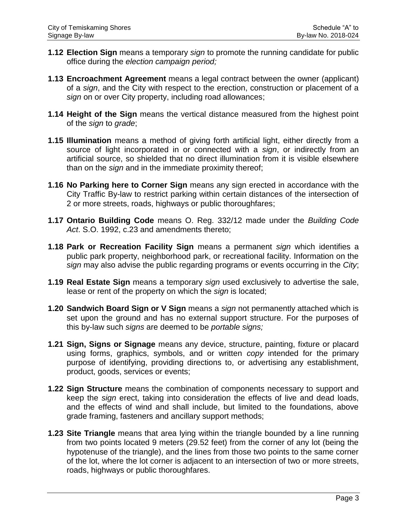- **1.12 Election Sign** means a temporary *sign* to promote the running candidate for public office during the *election campaign period;*
- **1.13 Encroachment Agreement** means a legal contract between the owner (applicant) of a *sign*, and the City with respect to the erection, construction or placement of a *sign* on or over City property, including road allowances;
- **1.14 Height of the Sign** means the vertical distance measured from the highest point of the *sign* to *grade*;
- **1.15 Illumination** means a method of giving forth artificial light, either directly from a source of light incorporated in or connected with a *sign*, or indirectly from an artificial source, so shielded that no direct illumination from it is visible elsewhere than on the *sign* and in the immediate proximity thereof;
- **1.16 No Parking here to Corner Sign** means any sign erected in accordance with the City Traffic By-law to restrict parking within certain distances of the intersection of 2 or more streets, roads, highways or public thoroughfares;
- **1.17 Ontario Building Code** means O. Reg. 332/12 made under the *Building Code Act*. S.O. 1992, c.23 and amendments thereto;
- **1.18 Park or Recreation Facility Sign** means a permanent *sign* which identifies a public park property, neighborhood park, or recreational facility. Information on the *sign* may also advise the public regarding programs or events occurring in the *City*;
- **1.19 Real Estate Sign** means a temporary *sign* used exclusively to advertise the sale, lease or rent of the property on which the *sign* is located;
- **1.20 Sandwich Board Sign or V Sign** means a *sign* not permanently attached which is set upon the ground and has no external support structure. For the purposes of this by-law such *signs* are deemed to be *portable signs;*
- **1.21 Sign, Signs or Signage** means any device, structure, painting, fixture or placard using forms, graphics, symbols, and or written *copy* intended for the primary purpose of identifying, providing directions to, or advertising any establishment, product, goods, services or events;
- **1.22 Sign Structure** means the combination of components necessary to support and keep the *sign* erect, taking into consideration the effects of live and dead loads, and the effects of wind and shall include, but limited to the foundations, above grade framing, fasteners and ancillary support methods;
- **1.23 Site Triangle** means that area lying within the triangle bounded by a line running from two points located 9 meters (29.52 feet) from the corner of any lot (being the hypotenuse of the triangle), and the lines from those two points to the same corner of the lot, where the lot corner is adjacent to an intersection of two or more streets, roads, highways or public thoroughfares.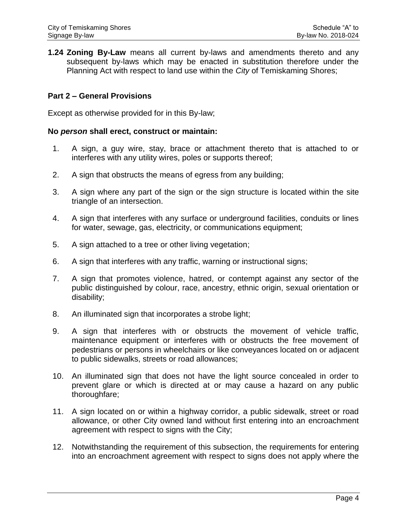**1.24 Zoning By-Law** means all current by-laws and amendments thereto and any subsequent by-laws which may be enacted in substitution therefore under the Planning Act with respect to land use within the *City* of Temiskaming Shores;

#### **Part 2 – General Provisions**

Except as otherwise provided for in this By-law;

#### **No** *person* **shall erect, construct or maintain:**

- 1. A sign, a guy wire, stay, brace or attachment thereto that is attached to or interferes with any utility wires, poles or supports thereof;
- 2. A sign that obstructs the means of egress from any building;
- 3. A sign where any part of the sign or the sign structure is located within the site triangle of an intersection.
- 4. A sign that interferes with any surface or underground facilities, conduits or lines for water, sewage, gas, electricity, or communications equipment;
- 5. A sign attached to a tree or other living vegetation;
- 6. A sign that interferes with any traffic, warning or instructional signs;
- 7. A sign that promotes violence, hatred, or contempt against any sector of the public distinguished by colour, race, ancestry, ethnic origin, sexual orientation or disability;
- 8. An illuminated sign that incorporates a strobe light;
- 9. A sign that interferes with or obstructs the movement of vehicle traffic, maintenance equipment or interferes with or obstructs the free movement of pedestrians or persons in wheelchairs or like conveyances located on or adjacent to public sidewalks, streets or road allowances;
- 10. An illuminated sign that does not have the light source concealed in order to prevent glare or which is directed at or may cause a hazard on any public thoroughfare;
- 11. A sign located on or within a highway corridor, a public sidewalk, street or road allowance, or other City owned land without first entering into an encroachment agreement with respect to signs with the City;
- 12. Notwithstanding the requirement of this subsection, the requirements for entering into an encroachment agreement with respect to signs does not apply where the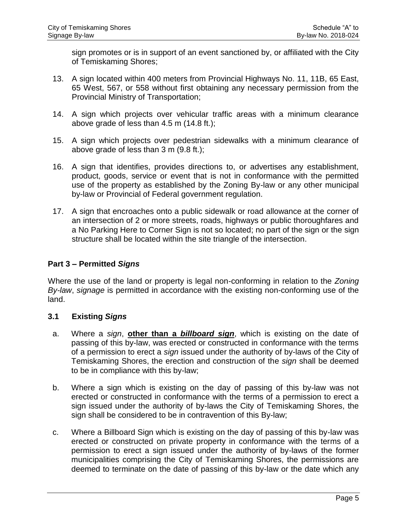sign promotes or is in support of an event sanctioned by, or affiliated with the City of Temiskaming Shores;

- 13. A sign located within 400 meters from Provincial Highways No. 11, 11B, 65 East, 65 West, 567, or 558 without first obtaining any necessary permission from the Provincial Ministry of Transportation;
- 14. A sign which projects over vehicular traffic areas with a minimum clearance above grade of less than 4.5 m (14.8 ft.);
- 15. A sign which projects over pedestrian sidewalks with a minimum clearance of above grade of less than 3 m (9.8 ft.);
- 16. A sign that identifies, provides directions to, or advertises any establishment, product, goods, service or event that is not in conformance with the permitted use of the property as established by the Zoning By-law or any other municipal by-law or Provincial of Federal government regulation.
- 17. A sign that encroaches onto a public sidewalk or road allowance at the corner of an intersection of 2 or more streets, roads, highways or public thoroughfares and a No Parking Here to Corner Sign is not so located; no part of the sign or the sign structure shall be located within the site triangle of the intersection.

# **Part 3 – Permitted** *Signs*

Where the use of the land or property is legal non-conforming in relation to the *Zoning By-law*, *signage* is permitted in accordance with the existing non-conforming use of the land.

## **3.1 Existing** *Signs*

- a. Where a *sign*, **other than a** *billboard sign*, which is existing on the date of passing of this by-law, was erected or constructed in conformance with the terms of a permission to erect a *sign* issued under the authority of by-laws of the City of Temiskaming Shores, the erection and construction of the *sign* shall be deemed to be in compliance with this by-law;
- b. Where a sign which is existing on the day of passing of this by-law was not erected or constructed in conformance with the terms of a permission to erect a sign issued under the authority of by-laws the City of Temiskaming Shores, the sign shall be considered to be in contravention of this By-law;
- c. Where a Billboard Sign which is existing on the day of passing of this by-law was erected or constructed on private property in conformance with the terms of a permission to erect a sign issued under the authority of by-laws of the former municipalities comprising the City of Temiskaming Shores, the permissions are deemed to terminate on the date of passing of this by-law or the date which any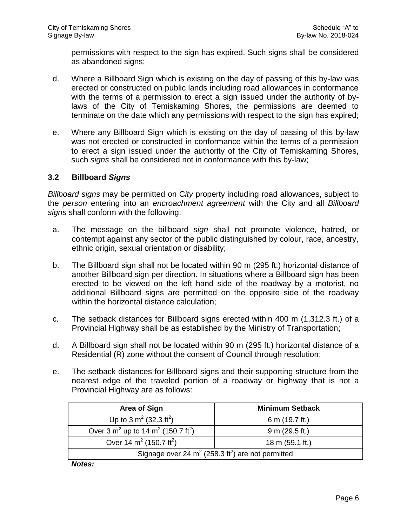permissions with respect to the sign has expired. Such signs shall be considered as abandoned signs;

- d. Where a Billboard Sign which is existing on the day of passing of this by-law was erected or constructed on public lands including road allowances in conformance with the terms of a permission to erect a sign issued under the authority of bylaws of the City of Temiskaming Shores, the permissions are deemed to terminate on the date which any permissions with respect to the sign has expired;
- e. Where any Billboard Sign which is existing on the day of passing of this by-law was not erected or constructed in conformance within the terms of a permission to erect a sign issued under the authority of the City of Temiskaming Shores, such *signs* shall be considered not in conformance with this by-law;

#### **3.2 Billboard** *Signs*

*Billboard signs* may be permitted on C*ity* property including road allowances, subject to the *person* entering into an *encroachment agreement* with the City and all *Billboard signs* shall conform with the following:

- a. The message on the billboard *sign* shall not promote violence, hatred, or contempt against any sector of the public distinguished by colour, race, ancestry, ethnic origin, sexual orientation or disability;
- b. The Billboard sign shall not be located within 90 m (295 ft.) horizontal distance of another Billboard sign per direction. In situations where a Billboard sign has been erected to be viewed on the left hand side of the roadway by a motorist, no additional Billboard signs are permitted on the opposite side of the roadway within the horizontal distance calculation;
- c. The setback distances for Billboard signs erected within 400 m (1,312.3 ft.) of a Provincial Highway shall be as established by the Ministry of Transportation;
- d. A Billboard sign shall not be located within 90 m (295 ft.) horizontal distance of a Residential (R) zone without the consent of Council through resolution;
- e. The setback distances for Billboard signs and their supporting structure from the nearest edge of the traveled portion of a roadway or highway that is not a Provincial Highway are as follows:

| <b>Area of Sign</b>                                              | <b>Minimum Setback</b>    |  |
|------------------------------------------------------------------|---------------------------|--|
| Up to 3 $m^2$ (32.3 ft <sup>2</sup> )                            | 6 m (19.7 ft.)            |  |
| Over 3 $m^2$ up to 14 $m^2$ (150.7 ft <sup>2</sup> )             | 9 m (29.5 ft.)            |  |
| Over 14 $m^2$ (150.7 ft <sup>2</sup> )                           | 18 m $(59.1 \text{ ft.})$ |  |
| Signage over 24 $m^2$ (258.3 ft <sup>2</sup> ) are not permitted |                           |  |

*Notes:*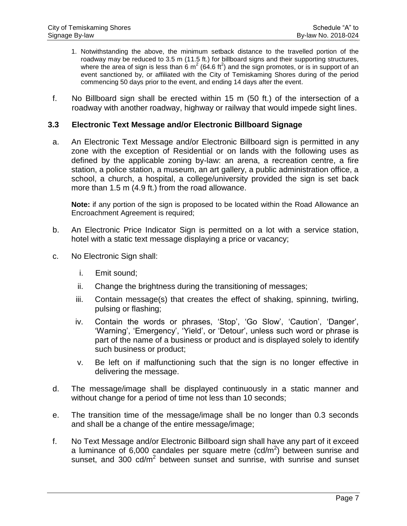- 1. Notwithstanding the above, the minimum setback distance to the travelled portion of the roadway may be reduced to 3.5 m (11.5 ft.) for billboard signs and their supporting structures, where the area of sign is less than 6  $m^2$  (64.6 ft<sup>2</sup>) and the sign promotes, or is in support of an event sanctioned by, or affiliated with the City of Temiskaming Shores during of the period commencing 50 days prior to the event, and ending 14 days after the event.
- f. No Billboard sign shall be erected within 15 m (50 ft.) of the intersection of a roadway with another roadway, highway or railway that would impede sight lines.

#### **3.3 Electronic Text Message and/or Electronic Billboard Signage**

a. An Electronic Text Message and/or Electronic Billboard sign is permitted in any zone with the exception of Residential or on lands with the following uses as defined by the applicable zoning by-law: an arena, a recreation centre, a fire station, a police station, a museum, an art gallery, a public administration office, a school, a church, a hospital, a college/university provided the sign is set back more than 1.5 m (4.9 ft.) from the road allowance.

**Note:** if any portion of the sign is proposed to be located within the Road Allowance an Encroachment Agreement is required;

- b. An Electronic Price Indicator Sign is permitted on a lot with a service station, hotel with a static text message displaying a price or vacancy;
- c. No Electronic Sign shall:
	- i. Emit sound;
	- ii. Change the brightness during the transitioning of messages;
	- iii. Contain message(s) that creates the effect of shaking, spinning, twirling, pulsing or flashing;
	- iv. Contain the words or phrases, 'Stop', 'Go Slow', 'Caution', 'Danger', 'Warning', 'Emergency', 'Yield', or 'Detour', unless such word or phrase is part of the name of a business or product and is displayed solely to identify such business or product;
	- v. Be left on if malfunctioning such that the sign is no longer effective in delivering the message.
- d. The message/image shall be displayed continuously in a static manner and without change for a period of time not less than 10 seconds;
- e. The transition time of the message/image shall be no longer than 0.3 seconds and shall be a change of the entire message/image;
- f. No Text Message and/or Electronic Billboard sign shall have any part of it exceed a luminance of 6,000 candales per square metre  $(cd/m^2)$  between sunrise and sunset, and 300  $cd/m^2$  between sunset and sunrise, with sunrise and sunset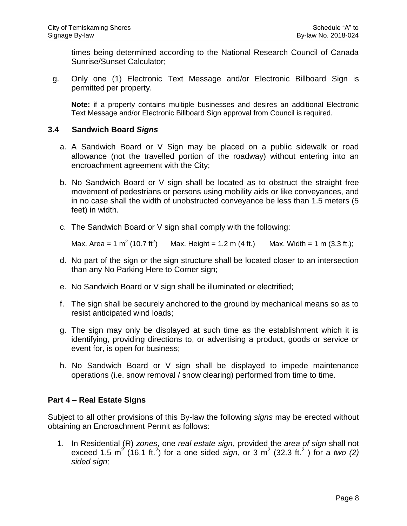times being determined according to the National Research Council of Canada Sunrise/Sunset Calculator;

g. Only one (1) Electronic Text Message and/or Electronic Billboard Sign is permitted per property.

**Note:** if a property contains multiple businesses and desires an additional Electronic Text Message and/or Electronic Billboard Sign approval from Council is required.

#### **3.4 Sandwich Board** *Signs*

- a. A Sandwich Board or V Sign may be placed on a public sidewalk or road allowance (not the travelled portion of the roadway) without entering into an encroachment agreement with the City;
- b. No Sandwich Board or V sign shall be located as to obstruct the straight free movement of pedestrians or persons using mobility aids or like conveyances, and in no case shall the width of unobstructed conveyance be less than 1.5 meters (5 feet) in width.
- c. The Sandwich Board or V sign shall comply with the following:

Max. Area = 1 m<sup>2</sup> (10.7 ft<sup>2</sup>) Max. Height = 1.2 m (4 ft.) Max. Width = 1 m (3.3 ft.);

- d. No part of the sign or the sign structure shall be located closer to an intersection than any No Parking Here to Corner sign;
- e. No Sandwich Board or V sign shall be illuminated or electrified;
- f. The sign shall be securely anchored to the ground by mechanical means so as to resist anticipated wind loads;
- g. The sign may only be displayed at such time as the establishment which it is identifying, providing directions to, or advertising a product, goods or service or event for, is open for business;
- h. No Sandwich Board or V sign shall be displayed to impede maintenance operations (i.e. snow removal / snow clearing) performed from time to time.

## **Part 4 – Real Estate Signs**

Subject to all other provisions of this By-law the following *signs* may be erected without obtaining an Encroachment Permit as follows:

1. In Residential (R) *zones*, one *real estate sign*, provided the *area of sign* shall not exceed 1.5 m<sup>2</sup> (16.1 ft.<sup>2</sup>) for a one sided *sign*, or 3 m<sup>2</sup> (32.3 ft.<sup>2</sup>) for a two (2) *sided sign;*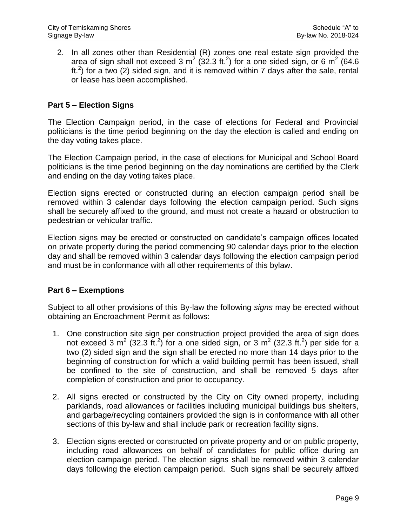2. In all zones other than Residential (R) zones one real estate sign provided the area of sign shall not exceed 3 m<sup>2</sup> (32.3 ft.<sup>2</sup>) for a one sided sign, or 6 m<sup>2</sup> (64.6 ft.<sup>2</sup>) for a two (2) sided sign, and it is removed within 7 days after the sale, rental or lease has been accomplished.

## **Part 5 – Election Signs**

The Election Campaign period, in the case of elections for Federal and Provincial politicians is the time period beginning on the day the election is called and ending on the day voting takes place.

The Election Campaign period, in the case of elections for Municipal and School Board politicians is the time period beginning on the day nominations are certified by the Clerk and ending on the day voting takes place.

Election signs erected or constructed during an election campaign period shall be removed within 3 calendar days following the election campaign period. Such signs shall be securely affixed to the ground, and must not create a hazard or obstruction to pedestrian or vehicular traffic.

Election signs may be erected or constructed on candidate's campaign offices located on private property during the period commencing 90 calendar days prior to the election day and shall be removed within 3 calendar days following the election campaign period and must be in conformance with all other requirements of this bylaw.

## **Part 6 – Exemptions**

Subject to all other provisions of this By-law the following *signs* may be erected without obtaining an Encroachment Permit as follows:

- 1. One construction site sign per construction project provided the area of sign does not exceed 3 m<sup>2</sup> (32.3 ft.<sup>2</sup>) for a one sided sign, or 3 m<sup>2</sup> (32.3 ft.<sup>2</sup>) per side for a two (2) sided sign and the sign shall be erected no more than 14 days prior to the beginning of construction for which a valid building permit has been issued, shall be confined to the site of construction, and shall be removed 5 days after completion of construction and prior to occupancy.
- 2. All signs erected or constructed by the City on City owned property, including parklands, road allowances or facilities including municipal buildings bus shelters, and garbage/recycling containers provided the sign is in conformance with all other sections of this by-law and shall include park or recreation facility signs.
- 3. Election signs erected or constructed on private property and or on public property, including road allowances on behalf of candidates for public office during an election campaign period. The election signs shall be removed within 3 calendar days following the election campaign period. Such signs shall be securely affixed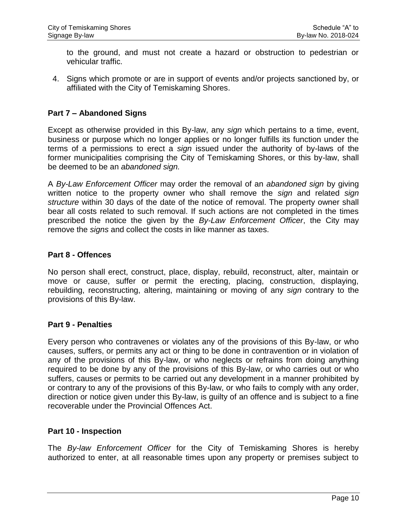to the ground, and must not create a hazard or obstruction to pedestrian or vehicular traffic.

4. Signs which promote or are in support of events and/or projects sanctioned by, or affiliated with the City of Temiskaming Shores.

## **Part 7 – Abandoned Signs**

Except as otherwise provided in this By-law, any *sign* which pertains to a time, event, business or purpose which no longer applies or no longer fulfills its function under the terms of a permissions to erect a *sign* issued under the authority of by-laws of the former municipalities comprising the City of Temiskaming Shores, or this by-law, shall be deemed to be an *abandoned sign.*

A *By-Law Enforcement Officer* may order the removal of an *abandoned sign* by giving written notice to the property owner who shall remove the *sign* and related *sign structure* within 30 days of the date of the notice of removal. The property owner shall bear all costs related to such removal. If such actions are not completed in the times prescribed the notice the given by the *By-Law Enforcement Officer*, the City may remove the *signs* and collect the costs in like manner as taxes.

## **Part 8 - Offences**

No person shall erect, construct, place, display, rebuild, reconstruct, alter, maintain or move or cause, suffer or permit the erecting, placing, construction, displaying, rebuilding, reconstructing, altering, maintaining or moving of any *sign* contrary to the provisions of this By-law.

## **Part 9 - Penalties**

Every person who contravenes or violates any of the provisions of this By-law, or who causes, suffers, or permits any act or thing to be done in contravention or in violation of any of the provisions of this By-law, or who neglects or refrains from doing anything required to be done by any of the provisions of this By-law, or who carries out or who suffers, causes or permits to be carried out any development in a manner prohibited by or contrary to any of the provisions of this By-law, or who fails to comply with any order, direction or notice given under this By-law, is guilty of an offence and is subject to a fine recoverable under the Provincial Offences Act.

## **Part 10 - Inspection**

The *By-law Enforcement Officer* for the City of Temiskaming Shores is hereby authorized to enter, at all reasonable times upon any property or premises subject to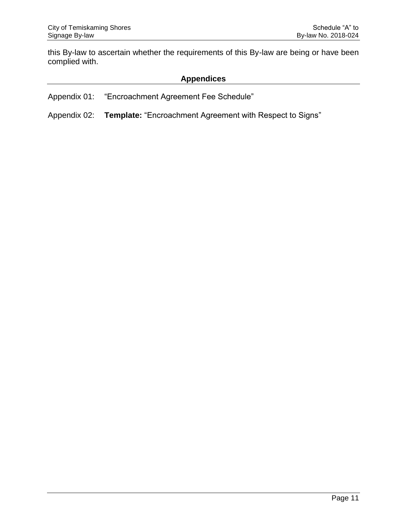this By-law to ascertain whether the requirements of this By-law are being or have been complied with.

# **Appendices**

Appendix 01: "Encroachment Agreement Fee Schedule"

Appendix 02: **Template:** "Encroachment Agreement with Respect to Signs"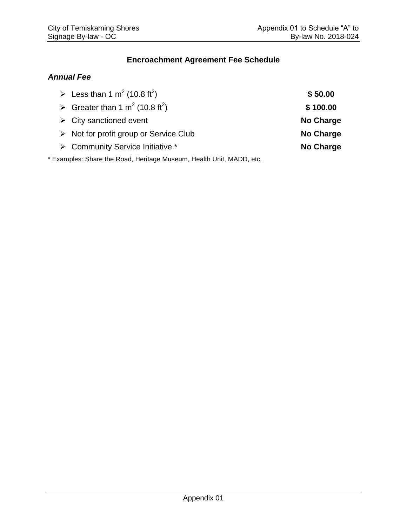# **Encroachment Agreement Fee Schedule**

## *Annual Fee*

| Example 1 $\text{m}^2$ (10.8 ft <sup>2</sup> )        | \$50.00   |
|-------------------------------------------------------|-----------|
| Greater than 1 m <sup>2</sup> (10.8 ft <sup>2</sup> ) | \$100.00  |
| $\triangleright$ City sanctioned event                | No Charge |
| $\triangleright$ Not for profit group or Service Club | No Charge |
| ▶ Community Service Initiative *                      | No Charge |
|                                                       |           |

\* Examples: Share the Road, Heritage Museum, Health Unit, MADD, etc.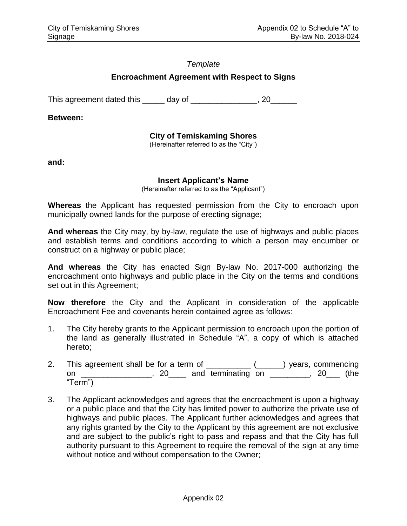# *Template*

## **Encroachment Agreement with Respect to Signs**

This agreement dated this day of this agreement dated this day of the state of the state of the state of the state of the state of the state of the state of the state of the state of the state of the state of the state of

**Between:**

# **City of Temiskaming Shores**

(Hereinafter referred to as the "City")

**and:**

#### **Insert Applicant's Name**

(Hereinafter referred to as the "Applicant")

**Whereas** the Applicant has requested permission from the City to encroach upon municipally owned lands for the purpose of erecting signage;

**And whereas** the City may, by by-law, regulate the use of highways and public places and establish terms and conditions according to which a person may encumber or construct on a highway or public place;

**And whereas** the City has enacted Sign By-law No. 2017-000 authorizing the encroachment onto highways and public place in the City on the terms and conditions set out in this Agreement;

**Now therefore** the City and the Applicant in consideration of the applicable Encroachment Fee and covenants herein contained agree as follows:

- 1. The City hereby grants to the Applicant permission to encroach upon the portion of the land as generally illustrated in Schedule "A", a copy of which is attached hereto;
- 2. This agreement shall be for a term of \_\_\_\_\_\_\_\_\_\_ (\_\_\_\_\_) years, commencing on \_\_\_\_\_\_\_\_\_\_\_\_\_\_, 20\_\_\_\_ and terminating on \_\_\_\_\_\_\_\_, 20\_\_\_ (the "Term")
- 3. The Applicant acknowledges and agrees that the encroachment is upon a highway or a public place and that the City has limited power to authorize the private use of highways and public places. The Applicant further acknowledges and agrees that any rights granted by the City to the Applicant by this agreement are not exclusive and are subject to the public's right to pass and repass and that the City has full authority pursuant to this Agreement to require the removal of the sign at any time without notice and without compensation to the Owner;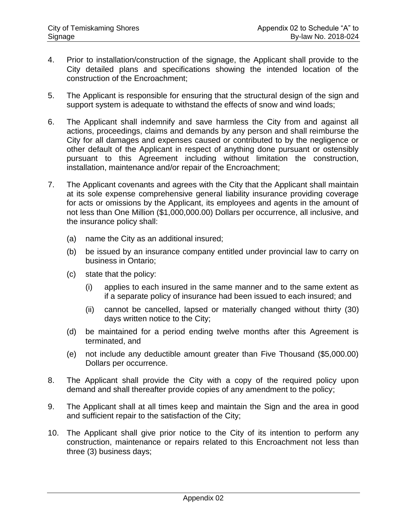- 4. Prior to installation/construction of the signage, the Applicant shall provide to the City detailed plans and specifications showing the intended location of the construction of the Encroachment;
- 5. The Applicant is responsible for ensuring that the structural design of the sign and support system is adequate to withstand the effects of snow and wind loads;
- 6. The Applicant shall indemnify and save harmless the City from and against all actions, proceedings, claims and demands by any person and shall reimburse the City for all damages and expenses caused or contributed to by the negligence or other default of the Applicant in respect of anything done pursuant or ostensibly pursuant to this Agreement including without limitation the construction, installation, maintenance and/or repair of the Encroachment;
- 7. The Applicant covenants and agrees with the City that the Applicant shall maintain at its sole expense comprehensive general liability insurance providing coverage for acts or omissions by the Applicant, its employees and agents in the amount of not less than One Million (\$1,000,000.00) Dollars per occurrence, all inclusive, and the insurance policy shall:
	- (a) name the City as an additional insured;
	- (b) be issued by an insurance company entitled under provincial law to carry on business in Ontario;
	- (c) state that the policy:
		- (i) applies to each insured in the same manner and to the same extent as if a separate policy of insurance had been issued to each insured; and
		- (ii) cannot be cancelled, lapsed or materially changed without thirty (30) days written notice to the City;
	- (d) be maintained for a period ending twelve months after this Agreement is terminated, and
	- (e) not include any deductible amount greater than Five Thousand (\$5,000.00) Dollars per occurrence.
- 8. The Applicant shall provide the City with a copy of the required policy upon demand and shall thereafter provide copies of any amendment to the policy;
- 9. The Applicant shall at all times keep and maintain the Sign and the area in good and sufficient repair to the satisfaction of the City;
- 10. The Applicant shall give prior notice to the City of its intention to perform any construction, maintenance or repairs related to this Encroachment not less than three (3) business days;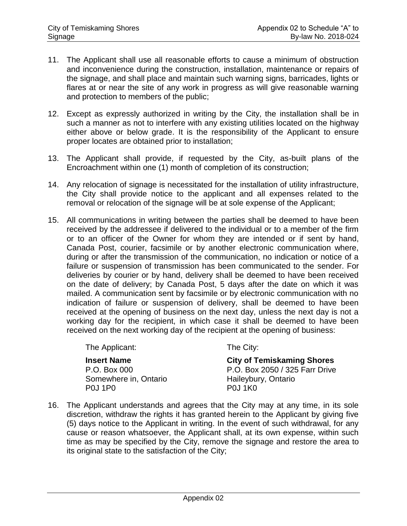- 11. The Applicant shall use all reasonable efforts to cause a minimum of obstruction and inconvenience during the construction, installation, maintenance or repairs of the signage, and shall place and maintain such warning signs, barricades, lights or flares at or near the site of any work in progress as will give reasonable warning and protection to members of the public;
- 12. Except as expressly authorized in writing by the City, the installation shall be in such a manner as not to interfere with any existing utilities located on the highway either above or below grade. It is the responsibility of the Applicant to ensure proper locates are obtained prior to installation;
- 13. The Applicant shall provide, if requested by the City, as-built plans of the Encroachment within one (1) month of completion of its construction;
- 14. Any relocation of signage is necessitated for the installation of utility infrastructure, the City shall provide notice to the applicant and all expenses related to the removal or relocation of the signage will be at sole expense of the Applicant;
- 15. All communications in writing between the parties shall be deemed to have been received by the addressee if delivered to the individual or to a member of the firm or to an officer of the Owner for whom they are intended or if sent by hand, Canada Post, courier, facsimile or by another electronic communication where, during or after the transmission of the communication, no indication or notice of a failure or suspension of transmission has been communicated to the sender. For deliveries by courier or by hand, delivery shall be deemed to have been received on the date of delivery; by Canada Post, 5 days after the date on which it was mailed. A communication sent by facsimile or by electronic communication with no indication of failure or suspension of delivery, shall be deemed to have been received at the opening of business on the next day, unless the next day is not a working day for the recipient, in which case it shall be deemed to have been received on the next working day of the recipient at the opening of business:

The Applicant: The City:

**Insert Name City of Temiskaming Shores** P.O. Box 000 P.O. Box 2050 / 325 Farr Drive Somewhere in, Ontario **Haileybury**, Ontario P0J 1P0 P0J 1K0

16. The Applicant understands and agrees that the City may at any time, in its sole discretion, withdraw the rights it has granted herein to the Applicant by giving five (5) days notice to the Applicant in writing. In the event of such withdrawal, for any cause or reason whatsoever, the Applicant shall, at its own expense, within such time as may be specified by the City, remove the signage and restore the area to its original state to the satisfaction of the City;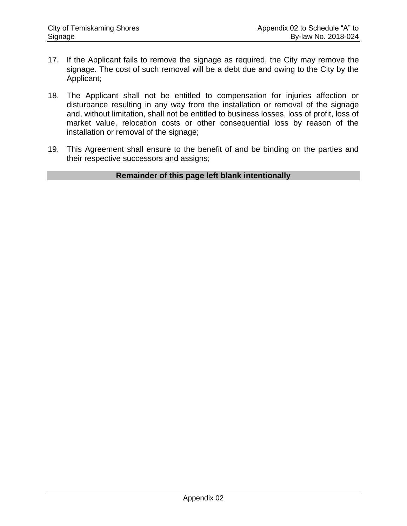- 17. If the Applicant fails to remove the signage as required, the City may remove the signage. The cost of such removal will be a debt due and owing to the City by the Applicant;
- 18. The Applicant shall not be entitled to compensation for injuries affection or disturbance resulting in any way from the installation or removal of the signage and, without limitation, shall not be entitled to business losses, loss of profit, loss of market value, relocation costs or other consequential loss by reason of the installation or removal of the signage;
- 19. This Agreement shall ensure to the benefit of and be binding on the parties and their respective successors and assigns;

## **Remainder of this page left blank intentionally**